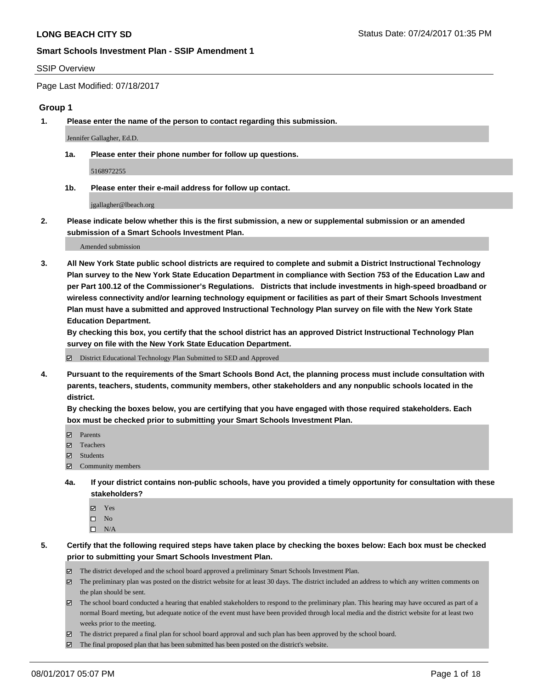#### SSIP Overview

Page Last Modified: 07/18/2017

#### **Group 1**

**1. Please enter the name of the person to contact regarding this submission.**

Jennifer Gallagher, Ed.D.

**1a. Please enter their phone number for follow up questions.**

5168972255

**1b. Please enter their e-mail address for follow up contact.**

jgallagher@lbeach.org

**2. Please indicate below whether this is the first submission, a new or supplemental submission or an amended submission of a Smart Schools Investment Plan.**

Amended submission

**3. All New York State public school districts are required to complete and submit a District Instructional Technology Plan survey to the New York State Education Department in compliance with Section 753 of the Education Law and per Part 100.12 of the Commissioner's Regulations. Districts that include investments in high-speed broadband or wireless connectivity and/or learning technology equipment or facilities as part of their Smart Schools Investment Plan must have a submitted and approved Instructional Technology Plan survey on file with the New York State Education Department.** 

**By checking this box, you certify that the school district has an approved District Instructional Technology Plan survey on file with the New York State Education Department.**

District Educational Technology Plan Submitted to SED and Approved

**4. Pursuant to the requirements of the Smart Schools Bond Act, the planning process must include consultation with parents, teachers, students, community members, other stakeholders and any nonpublic schools located in the district.** 

**By checking the boxes below, you are certifying that you have engaged with those required stakeholders. Each box must be checked prior to submitting your Smart Schools Investment Plan.**

- **マ** Parents
- □ Teachers
- Students
- $\Xi$  Community members
- **4a. If your district contains non-public schools, have you provided a timely opportunity for consultation with these stakeholders?**
	- Yes
	- $\hfill \square$  No
	- $\square$  N/A
- **5. Certify that the following required steps have taken place by checking the boxes below: Each box must be checked prior to submitting your Smart Schools Investment Plan.**
	- The district developed and the school board approved a preliminary Smart Schools Investment Plan.
	- $\boxtimes$  The preliminary plan was posted on the district website for at least 30 days. The district included an address to which any written comments on the plan should be sent.
	- $\boxtimes$  The school board conducted a hearing that enabled stakeholders to respond to the preliminary plan. This hearing may have occured as part of a normal Board meeting, but adequate notice of the event must have been provided through local media and the district website for at least two weeks prior to the meeting.
	- The district prepared a final plan for school board approval and such plan has been approved by the school board.
	- $\boxtimes$  The final proposed plan that has been submitted has been posted on the district's website.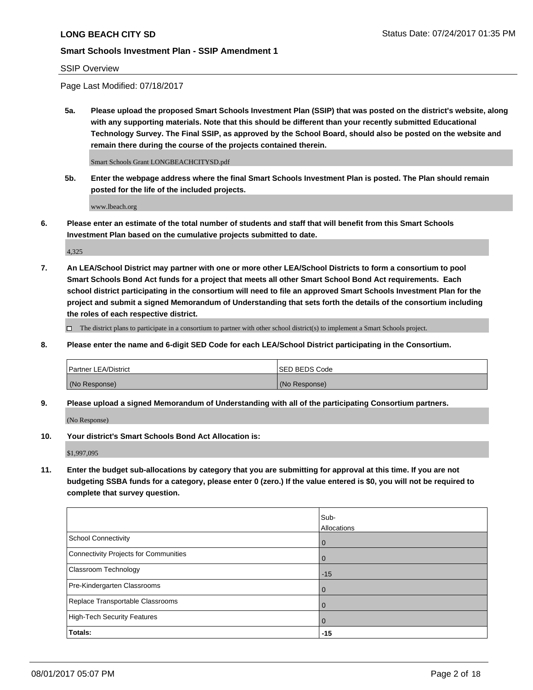### SSIP Overview

Page Last Modified: 07/18/2017

**5a. Please upload the proposed Smart Schools Investment Plan (SSIP) that was posted on the district's website, along with any supporting materials. Note that this should be different than your recently submitted Educational Technology Survey. The Final SSIP, as approved by the School Board, should also be posted on the website and remain there during the course of the projects contained therein.**

Smart Schools Grant LONGBEACHCITYSD.pdf

**5b. Enter the webpage address where the final Smart Schools Investment Plan is posted. The Plan should remain posted for the life of the included projects.**

www.lbeach.org

**6. Please enter an estimate of the total number of students and staff that will benefit from this Smart Schools Investment Plan based on the cumulative projects submitted to date.**

4,325

**7. An LEA/School District may partner with one or more other LEA/School Districts to form a consortium to pool Smart Schools Bond Act funds for a project that meets all other Smart School Bond Act requirements. Each school district participating in the consortium will need to file an approved Smart Schools Investment Plan for the project and submit a signed Memorandum of Understanding that sets forth the details of the consortium including the roles of each respective district.**

 $\Box$  The district plans to participate in a consortium to partner with other school district(s) to implement a Smart Schools project.

**8. Please enter the name and 6-digit SED Code for each LEA/School District participating in the Consortium.**

| <b>Partner LEA/District</b> | <b>ISED BEDS Code</b> |
|-----------------------------|-----------------------|
| (No Response)               | (No Response)         |

**9. Please upload a signed Memorandum of Understanding with all of the participating Consortium partners.**

(No Response)

**10. Your district's Smart Schools Bond Act Allocation is:**

\$1,997,095

**11. Enter the budget sub-allocations by category that you are submitting for approval at this time. If you are not budgeting SSBA funds for a category, please enter 0 (zero.) If the value entered is \$0, you will not be required to complete that survey question.**

|                                       | Sub-           |
|---------------------------------------|----------------|
|                                       | Allocations    |
| School Connectivity                   | l 0            |
| Connectivity Projects for Communities | $\overline{0}$ |
| Classroom Technology                  | $-15$          |
| Pre-Kindergarten Classrooms           | $\overline{0}$ |
| Replace Transportable Classrooms      | $\overline{0}$ |
| High-Tech Security Features           | $\overline{0}$ |
| <b>Totals:</b>                        | $-15$          |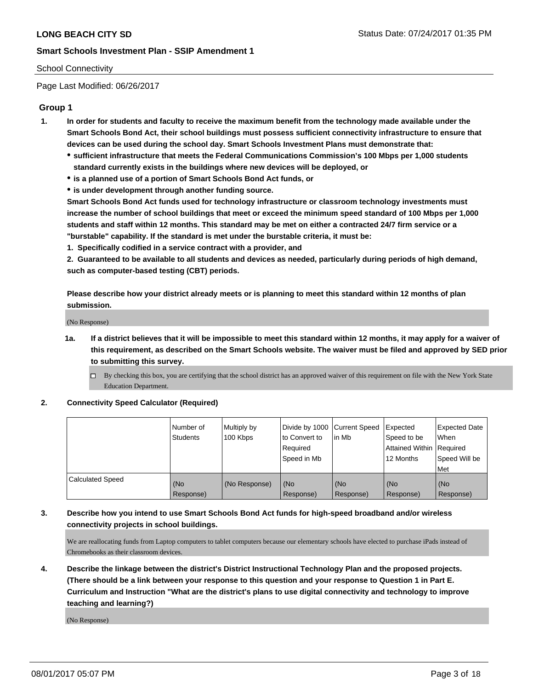#### School Connectivity

Page Last Modified: 06/26/2017

### **Group 1**

- **1. In order for students and faculty to receive the maximum benefit from the technology made available under the Smart Schools Bond Act, their school buildings must possess sufficient connectivity infrastructure to ensure that devices can be used during the school day. Smart Schools Investment Plans must demonstrate that:**
	- **sufficient infrastructure that meets the Federal Communications Commission's 100 Mbps per 1,000 students standard currently exists in the buildings where new devices will be deployed, or**
	- **is a planned use of a portion of Smart Schools Bond Act funds, or**
	- **is under development through another funding source.**

**Smart Schools Bond Act funds used for technology infrastructure or classroom technology investments must increase the number of school buildings that meet or exceed the minimum speed standard of 100 Mbps per 1,000 students and staff within 12 months. This standard may be met on either a contracted 24/7 firm service or a "burstable" capability. If the standard is met under the burstable criteria, it must be:**

**1. Specifically codified in a service contract with a provider, and**

**2. Guaranteed to be available to all students and devices as needed, particularly during periods of high demand, such as computer-based testing (CBT) periods.**

**Please describe how your district already meets or is planning to meet this standard within 12 months of plan submission.**

(No Response)

- **1a. If a district believes that it will be impossible to meet this standard within 12 months, it may apply for a waiver of this requirement, as described on the Smart Schools website. The waiver must be filed and approved by SED prior to submitting this survey.**
	- By checking this box, you are certifying that the school district has an approved waiver of this requirement on file with the New York State Education Department.

#### **2. Connectivity Speed Calculator (Required)**

|                         | l Number of<br><b>Students</b> | Multiply by<br>100 Kbps | Divide by 1000   Current Speed<br>to Convert to<br>Required<br>l Speed in Mb | in Mb            | Expected<br>Speed to be<br>Attained Within Required<br>12 Months | <b>Expected Date</b><br>When<br>Speed Will be<br><b>Met</b> |
|-------------------------|--------------------------------|-------------------------|------------------------------------------------------------------------------|------------------|------------------------------------------------------------------|-------------------------------------------------------------|
| <b>Calculated Speed</b> | (No<br>Response)               | (No Response)           | (No<br>Response)                                                             | (No<br>Response) | (No<br>Response)                                                 | l (No<br>Response)                                          |

### **3. Describe how you intend to use Smart Schools Bond Act funds for high-speed broadband and/or wireless connectivity projects in school buildings.**

We are reallocating funds from Laptop computers to tablet computers because our elementary schools have elected to purchase iPads instead of Chromebooks as their classroom devices.

**4. Describe the linkage between the district's District Instructional Technology Plan and the proposed projects. (There should be a link between your response to this question and your response to Question 1 in Part E. Curriculum and Instruction "What are the district's plans to use digital connectivity and technology to improve teaching and learning?)**

(No Response)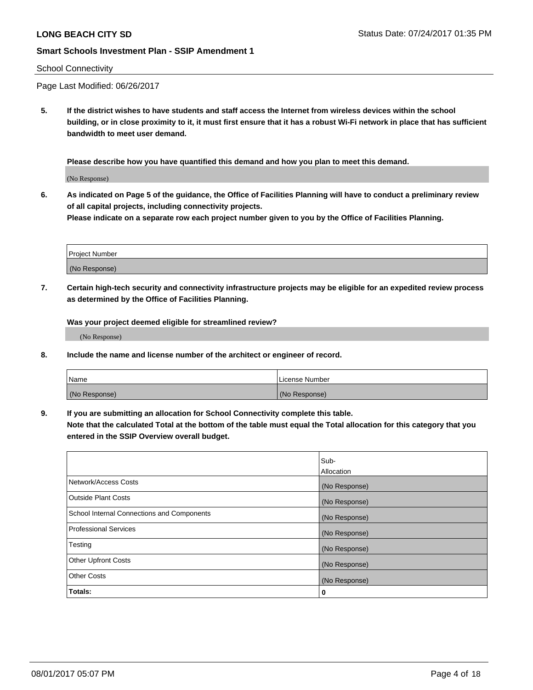#### School Connectivity

Page Last Modified: 06/26/2017

**5. If the district wishes to have students and staff access the Internet from wireless devices within the school building, or in close proximity to it, it must first ensure that it has a robust Wi-Fi network in place that has sufficient bandwidth to meet user demand.**

**Please describe how you have quantified this demand and how you plan to meet this demand.**

(No Response)

**6. As indicated on Page 5 of the guidance, the Office of Facilities Planning will have to conduct a preliminary review of all capital projects, including connectivity projects.**

**Please indicate on a separate row each project number given to you by the Office of Facilities Planning.**

| Project Number |  |
|----------------|--|
|                |  |
| (No Response)  |  |

**7. Certain high-tech security and connectivity infrastructure projects may be eligible for an expedited review process as determined by the Office of Facilities Planning.**

**Was your project deemed eligible for streamlined review?**

(No Response)

**8. Include the name and license number of the architect or engineer of record.**

| Name          | License Number |
|---------------|----------------|
| (No Response) | (No Response)  |

**9. If you are submitting an allocation for School Connectivity complete this table.**

**Note that the calculated Total at the bottom of the table must equal the Total allocation for this category that you entered in the SSIP Overview overall budget.** 

|                                            | Sub-              |
|--------------------------------------------|-------------------|
|                                            | <b>Allocation</b> |
| Network/Access Costs                       | (No Response)     |
| <b>Outside Plant Costs</b>                 | (No Response)     |
| School Internal Connections and Components | (No Response)     |
| Professional Services                      | (No Response)     |
| Testing                                    | (No Response)     |
| <b>Other Upfront Costs</b>                 | (No Response)     |
| <b>Other Costs</b>                         | (No Response)     |
| Totals:                                    | 0                 |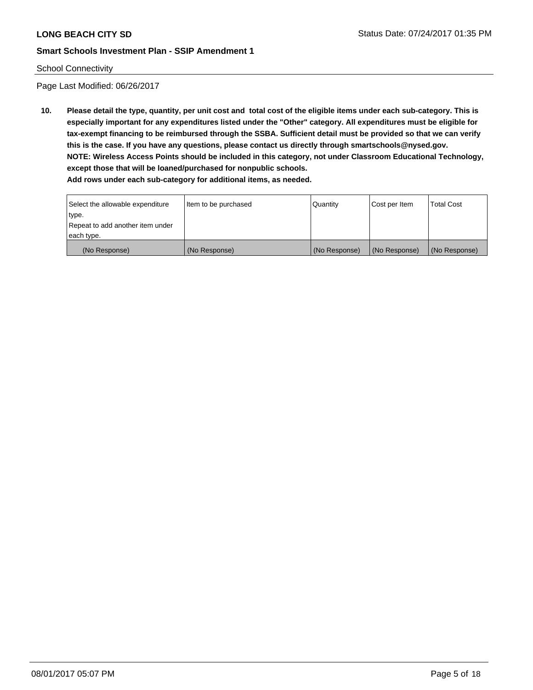#### School Connectivity

Page Last Modified: 06/26/2017

**10. Please detail the type, quantity, per unit cost and total cost of the eligible items under each sub-category. This is especially important for any expenditures listed under the "Other" category. All expenditures must be eligible for tax-exempt financing to be reimbursed through the SSBA. Sufficient detail must be provided so that we can verify this is the case. If you have any questions, please contact us directly through smartschools@nysed.gov. NOTE: Wireless Access Points should be included in this category, not under Classroom Educational Technology, except those that will be loaned/purchased for nonpublic schools.**

| Select the allowable expenditure | Item to be purchased | Quantity      | Cost per Item | Total Cost    |
|----------------------------------|----------------------|---------------|---------------|---------------|
| type.                            |                      |               |               |               |
| Repeat to add another item under |                      |               |               |               |
| each type.                       |                      |               |               |               |
| (No Response)                    | (No Response)        | (No Response) | (No Response) | (No Response) |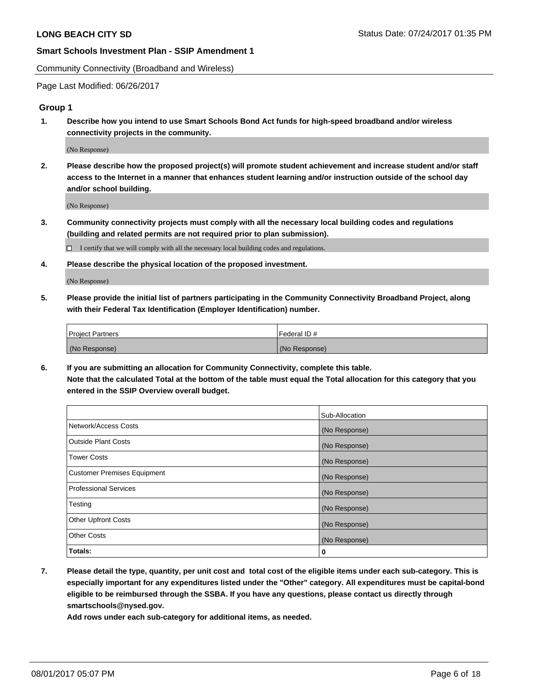Community Connectivity (Broadband and Wireless)

Page Last Modified: 06/26/2017

### **Group 1**

**1. Describe how you intend to use Smart Schools Bond Act funds for high-speed broadband and/or wireless connectivity projects in the community.**

(No Response)

**2. Please describe how the proposed project(s) will promote student achievement and increase student and/or staff access to the Internet in a manner that enhances student learning and/or instruction outside of the school day and/or school building.**

(No Response)

**3. Community connectivity projects must comply with all the necessary local building codes and regulations (building and related permits are not required prior to plan submission).**

 $\Box$  I certify that we will comply with all the necessary local building codes and regulations.

**4. Please describe the physical location of the proposed investment.**

(No Response)

**5. Please provide the initial list of partners participating in the Community Connectivity Broadband Project, along with their Federal Tax Identification (Employer Identification) number.**

| <b>Project Partners</b> | Federal ID#     |
|-------------------------|-----------------|
| (No Response)           | l (No Response) |

**6. If you are submitting an allocation for Community Connectivity, complete this table. Note that the calculated Total at the bottom of the table must equal the Total allocation for this category that you entered in the SSIP Overview overall budget.**

|                                    | Sub-Allocation |
|------------------------------------|----------------|
| Network/Access Costs               | (No Response)  |
| Outside Plant Costs                | (No Response)  |
| <b>Tower Costs</b>                 | (No Response)  |
| <b>Customer Premises Equipment</b> | (No Response)  |
| <b>Professional Services</b>       | (No Response)  |
| Testing                            | (No Response)  |
| <b>Other Upfront Costs</b>         | (No Response)  |
| <b>Other Costs</b>                 | (No Response)  |
| Totals:                            | 0              |

**7. Please detail the type, quantity, per unit cost and total cost of the eligible items under each sub-category. This is especially important for any expenditures listed under the "Other" category. All expenditures must be capital-bond eligible to be reimbursed through the SSBA. If you have any questions, please contact us directly through smartschools@nysed.gov.**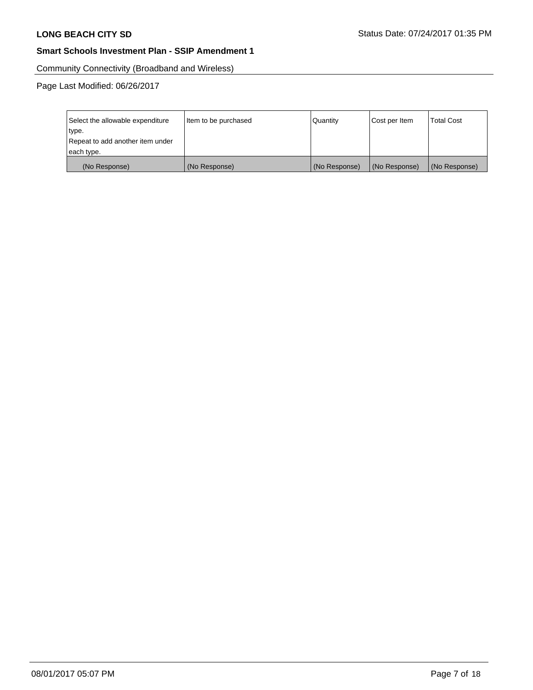Community Connectivity (Broadband and Wireless)

Page Last Modified: 06/26/2017

| Select the allowable expenditure | Item to be purchased | Quantity      | Cost per Item | <b>Total Cost</b> |
|----------------------------------|----------------------|---------------|---------------|-------------------|
| type.                            |                      |               |               |                   |
| Repeat to add another item under |                      |               |               |                   |
| each type.                       |                      |               |               |                   |
| (No Response)                    | (No Response)        | (No Response) | (No Response) | (No Response)     |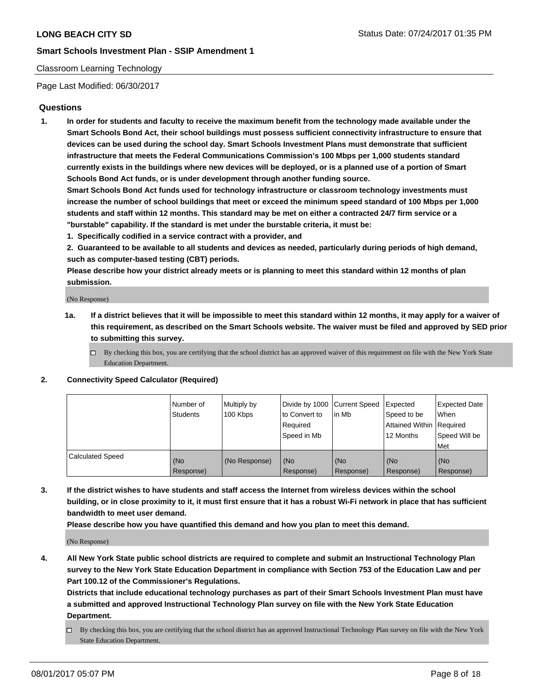## Classroom Learning Technology

Page Last Modified: 06/30/2017

## **Questions**

**1. In order for students and faculty to receive the maximum benefit from the technology made available under the Smart Schools Bond Act, their school buildings must possess sufficient connectivity infrastructure to ensure that devices can be used during the school day. Smart Schools Investment Plans must demonstrate that sufficient infrastructure that meets the Federal Communications Commission's 100 Mbps per 1,000 students standard currently exists in the buildings where new devices will be deployed, or is a planned use of a portion of Smart Schools Bond Act funds, or is under development through another funding source.**

**Smart Schools Bond Act funds used for technology infrastructure or classroom technology investments must increase the number of school buildings that meet or exceed the minimum speed standard of 100 Mbps per 1,000 students and staff within 12 months. This standard may be met on either a contracted 24/7 firm service or a "burstable" capability. If the standard is met under the burstable criteria, it must be:**

- **1. Specifically codified in a service contract with a provider, and**
- **2. Guaranteed to be available to all students and devices as needed, particularly during periods of high demand, such as computer-based testing (CBT) periods.**

**Please describe how your district already meets or is planning to meet this standard within 12 months of plan submission.**

(No Response)

- **1a. If a district believes that it will be impossible to meet this standard within 12 months, it may apply for a waiver of this requirement, as described on the Smart Schools website. The waiver must be filed and approved by SED prior to submitting this survey.**
	- $\Box$  By checking this box, you are certifying that the school district has an approved waiver of this requirement on file with the New York State Education Department.

#### **2. Connectivity Speed Calculator (Required)**

|                         | l Number of<br>Students | Multiply by<br>100 Kbps | Divide by 1000   Current Speed<br>to Convert to<br>Required<br>Speed in Mb | l in Mb          | Expected<br>Speed to be<br>Attained Within Required<br>12 Months | <b>Expected Date</b><br>When<br>Speed Will be<br>Met |
|-------------------------|-------------------------|-------------------------|----------------------------------------------------------------------------|------------------|------------------------------------------------------------------|------------------------------------------------------|
| <b>Calculated Speed</b> | (No<br>Response)        | (No Response)           | (No<br>Response)                                                           | (No<br>Response) | (No<br>Response)                                                 | (No<br>Response)                                     |

**3. If the district wishes to have students and staff access the Internet from wireless devices within the school building, or in close proximity to it, it must first ensure that it has a robust Wi-Fi network in place that has sufficient bandwidth to meet user demand.**

**Please describe how you have quantified this demand and how you plan to meet this demand.**

(No Response)

**4. All New York State public school districts are required to complete and submit an Instructional Technology Plan survey to the New York State Education Department in compliance with Section 753 of the Education Law and per Part 100.12 of the Commissioner's Regulations.**

**Districts that include educational technology purchases as part of their Smart Schools Investment Plan must have a submitted and approved Instructional Technology Plan survey on file with the New York State Education Department.**

 $\Box$  By checking this box, you are certifying that the school district has an approved Instructional Technology Plan survey on file with the New York State Education Department.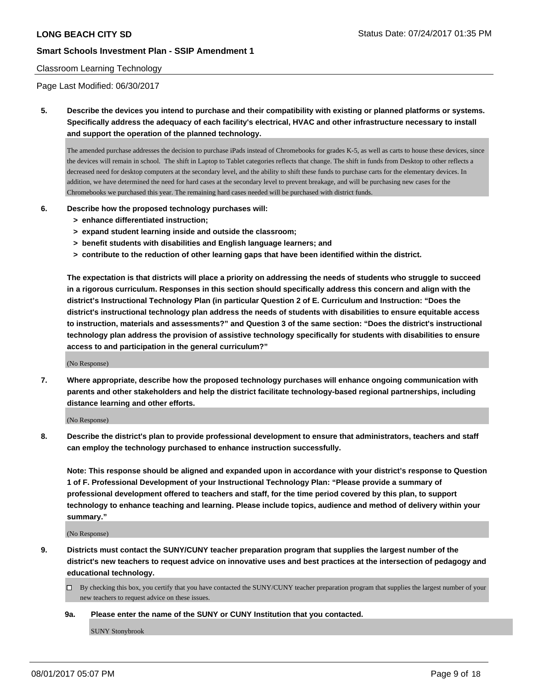#### Classroom Learning Technology

Page Last Modified: 06/30/2017

**5. Describe the devices you intend to purchase and their compatibility with existing or planned platforms or systems. Specifically address the adequacy of each facility's electrical, HVAC and other infrastructure necessary to install and support the operation of the planned technology.**

The amended purchase addresses the decision to purchase iPads instead of Chromebooks for grades K-5, as well as carts to house these devices, since the devices will remain in school. The shift in Laptop to Tablet categories reflects that change. The shift in funds from Desktop to other reflects a decreased need for desktop computers at the secondary level, and the ability to shift these funds to purchase carts for the elementary devices. In addition, we have determined the need for hard cases at the secondary level to prevent breakage, and will be purchasing new cases for the Chromebooks we purchased this year. The remaining hard cases needed will be purchased with district funds.

#### **6. Describe how the proposed technology purchases will:**

- **> enhance differentiated instruction;**
- **> expand student learning inside and outside the classroom;**
- **> benefit students with disabilities and English language learners; and**
- **> contribute to the reduction of other learning gaps that have been identified within the district.**

**The expectation is that districts will place a priority on addressing the needs of students who struggle to succeed in a rigorous curriculum. Responses in this section should specifically address this concern and align with the district's Instructional Technology Plan (in particular Question 2 of E. Curriculum and Instruction: "Does the district's instructional technology plan address the needs of students with disabilities to ensure equitable access to instruction, materials and assessments?" and Question 3 of the same section: "Does the district's instructional technology plan address the provision of assistive technology specifically for students with disabilities to ensure access to and participation in the general curriculum?"**

(No Response)

**7. Where appropriate, describe how the proposed technology purchases will enhance ongoing communication with parents and other stakeholders and help the district facilitate technology-based regional partnerships, including distance learning and other efforts.**

(No Response)

**8. Describe the district's plan to provide professional development to ensure that administrators, teachers and staff can employ the technology purchased to enhance instruction successfully.**

**Note: This response should be aligned and expanded upon in accordance with your district's response to Question 1 of F. Professional Development of your Instructional Technology Plan: "Please provide a summary of professional development offered to teachers and staff, for the time period covered by this plan, to support technology to enhance teaching and learning. Please include topics, audience and method of delivery within your summary."**

(No Response)

- **9. Districts must contact the SUNY/CUNY teacher preparation program that supplies the largest number of the district's new teachers to request advice on innovative uses and best practices at the intersection of pedagogy and educational technology.**
	- By checking this box, you certify that you have contacted the SUNY/CUNY teacher preparation program that supplies the largest number of your new teachers to request advice on these issues.

#### **9a. Please enter the name of the SUNY or CUNY Institution that you contacted.**

SUNY Stonybrook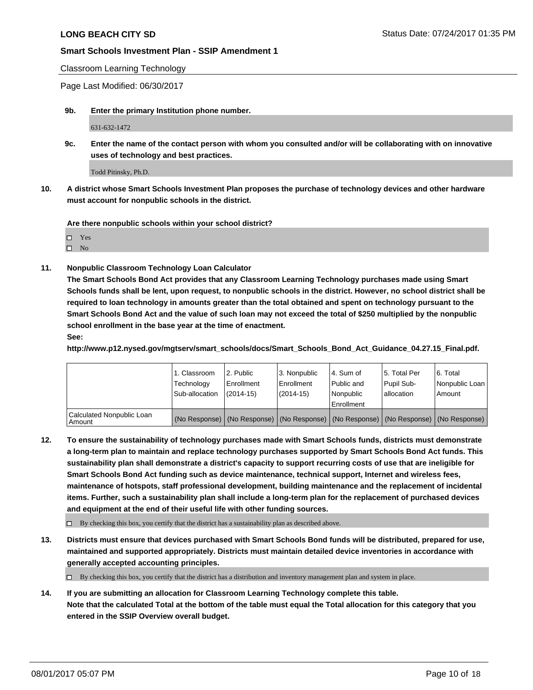Classroom Learning Technology

Page Last Modified: 06/30/2017

**9b. Enter the primary Institution phone number.**

631-632-1472

**9c. Enter the name of the contact person with whom you consulted and/or will be collaborating with on innovative uses of technology and best practices.**

Todd Pitinsky, Ph.D.

**10. A district whose Smart Schools Investment Plan proposes the purchase of technology devices and other hardware must account for nonpublic schools in the district.**

**Are there nonpublic schools within your school district?**

Yes

 $\square$  No

**11. Nonpublic Classroom Technology Loan Calculator**

**The Smart Schools Bond Act provides that any Classroom Learning Technology purchases made using Smart Schools funds shall be lent, upon request, to nonpublic schools in the district. However, no school district shall be required to loan technology in amounts greater than the total obtained and spent on technology pursuant to the Smart Schools Bond Act and the value of such loan may not exceed the total of \$250 multiplied by the nonpublic school enrollment in the base year at the time of enactment.**

**See:**

**http://www.p12.nysed.gov/mgtserv/smart\_schools/docs/Smart\_Schools\_Bond\_Act\_Guidance\_04.27.15\_Final.pdf.**

|                                       | 1. Classroom<br>Technology<br>Sub-allocation | 12. Public<br>l Enrollment<br>$(2014-15)$ | l 3. Nonpublic<br>l Enrollment<br>(2014-15) | l 4. Sum of<br>Public and<br>Nonpublic<br>Enrollment | 15. Total Per<br>Pupil Sub-<br>lallocation | 6. Total<br>Nonpublic Loan  <br>Amount                                                        |
|---------------------------------------|----------------------------------------------|-------------------------------------------|---------------------------------------------|------------------------------------------------------|--------------------------------------------|-----------------------------------------------------------------------------------------------|
| Calculated Nonpublic Loan<br>l Amount |                                              |                                           |                                             |                                                      |                                            | (No Response)   (No Response)   (No Response)   (No Response)   (No Response)   (No Response) |

**12. To ensure the sustainability of technology purchases made with Smart Schools funds, districts must demonstrate a long-term plan to maintain and replace technology purchases supported by Smart Schools Bond Act funds. This sustainability plan shall demonstrate a district's capacity to support recurring costs of use that are ineligible for Smart Schools Bond Act funding such as device maintenance, technical support, Internet and wireless fees, maintenance of hotspots, staff professional development, building maintenance and the replacement of incidental items. Further, such a sustainability plan shall include a long-term plan for the replacement of purchased devices and equipment at the end of their useful life with other funding sources.**

 $\Box$  By checking this box, you certify that the district has a sustainability plan as described above.

**13. Districts must ensure that devices purchased with Smart Schools Bond funds will be distributed, prepared for use, maintained and supported appropriately. Districts must maintain detailed device inventories in accordance with generally accepted accounting principles.**

 $\Box$  By checking this box, you certify that the district has a distribution and inventory management plan and system in place.

**14. If you are submitting an allocation for Classroom Learning Technology complete this table. Note that the calculated Total at the bottom of the table must equal the Total allocation for this category that you entered in the SSIP Overview overall budget.**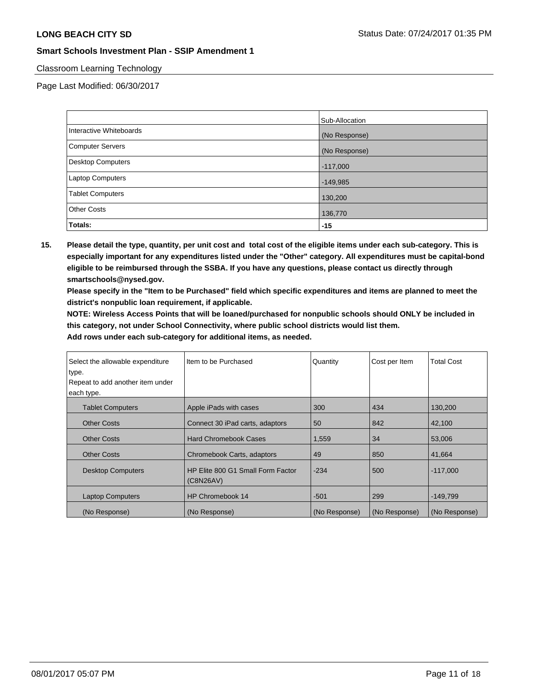## Classroom Learning Technology

Page Last Modified: 06/30/2017

|                         | Sub-Allocation |
|-------------------------|----------------|
| Interactive Whiteboards | (No Response)  |
| Computer Servers        | (No Response)  |
| Desktop Computers       | $-117,000$     |
| Laptop Computers        | $-149,985$     |
| <b>Tablet Computers</b> | 130,200        |
| <b>Other Costs</b>      | 136,770        |
| Totals:                 | $-15$          |

**15. Please detail the type, quantity, per unit cost and total cost of the eligible items under each sub-category. This is especially important for any expenditures listed under the "Other" category. All expenditures must be capital-bond eligible to be reimbursed through the SSBA. If you have any questions, please contact us directly through smartschools@nysed.gov.**

**Please specify in the "Item to be Purchased" field which specific expenditures and items are planned to meet the district's nonpublic loan requirement, if applicable.**

**NOTE: Wireless Access Points that will be loaned/purchased for nonpublic schools should ONLY be included in this category, not under School Connectivity, where public school districts would list them.**

| Select the allowable expenditure<br>type.<br>Repeat to add another item under | Item to be Purchased                           | Quantity      | Cost per Item | <b>Total Cost</b> |
|-------------------------------------------------------------------------------|------------------------------------------------|---------------|---------------|-------------------|
| each type.                                                                    |                                                |               |               |                   |
| <b>Tablet Computers</b>                                                       | Apple iPads with cases                         | 300           | 434           | 130,200           |
| <b>Other Costs</b>                                                            | Connect 30 iPad carts, adaptors                | 50            | 842           | 42,100            |
| <b>Other Costs</b>                                                            | <b>Hard Chromebook Cases</b>                   | 1,559         | 34            | 53,006            |
| <b>Other Costs</b>                                                            | Chromebook Carts, adaptors                     | 49            | 850           | 41.664            |
| <b>Desktop Computers</b>                                                      | HP Elite 800 G1 Small Form Factor<br>(C8N26AV) | $-234$        | 500           | $-117,000$        |
| <b>Laptop Computers</b>                                                       | HP Chromebook 14                               | $-501$        | 299           | $-149,799$        |
| (No Response)                                                                 | (No Response)                                  | (No Response) | (No Response) | (No Response)     |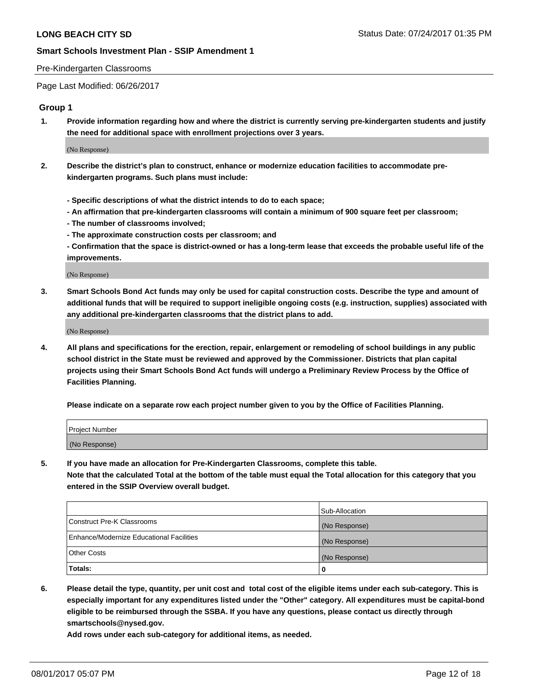#### Pre-Kindergarten Classrooms

Page Last Modified: 06/26/2017

### **Group 1**

**1. Provide information regarding how and where the district is currently serving pre-kindergarten students and justify the need for additional space with enrollment projections over 3 years.**

(No Response)

- **2. Describe the district's plan to construct, enhance or modernize education facilities to accommodate prekindergarten programs. Such plans must include:**
	- **Specific descriptions of what the district intends to do to each space;**
	- **An affirmation that pre-kindergarten classrooms will contain a minimum of 900 square feet per classroom;**
	- **The number of classrooms involved;**
	- **The approximate construction costs per classroom; and**
	- **Confirmation that the space is district-owned or has a long-term lease that exceeds the probable useful life of the improvements.**

(No Response)

**3. Smart Schools Bond Act funds may only be used for capital construction costs. Describe the type and amount of additional funds that will be required to support ineligible ongoing costs (e.g. instruction, supplies) associated with any additional pre-kindergarten classrooms that the district plans to add.**

(No Response)

**4. All plans and specifications for the erection, repair, enlargement or remodeling of school buildings in any public school district in the State must be reviewed and approved by the Commissioner. Districts that plan capital projects using their Smart Schools Bond Act funds will undergo a Preliminary Review Process by the Office of Facilities Planning.**

**Please indicate on a separate row each project number given to you by the Office of Facilities Planning.**

| Project Number |  |
|----------------|--|
| (No Response)  |  |

**5. If you have made an allocation for Pre-Kindergarten Classrooms, complete this table. Note that the calculated Total at the bottom of the table must equal the Total allocation for this category that you entered in the SSIP Overview overall budget.**

| Totals:                                  | 0              |
|------------------------------------------|----------------|
| Other Costs                              | (No Response)  |
| Enhance/Modernize Educational Facilities | (No Response)  |
| Construct Pre-K Classrooms               | (No Response)  |
|                                          | Sub-Allocation |

**6. Please detail the type, quantity, per unit cost and total cost of the eligible items under each sub-category. This is especially important for any expenditures listed under the "Other" category. All expenditures must be capital-bond eligible to be reimbursed through the SSBA. If you have any questions, please contact us directly through smartschools@nysed.gov.**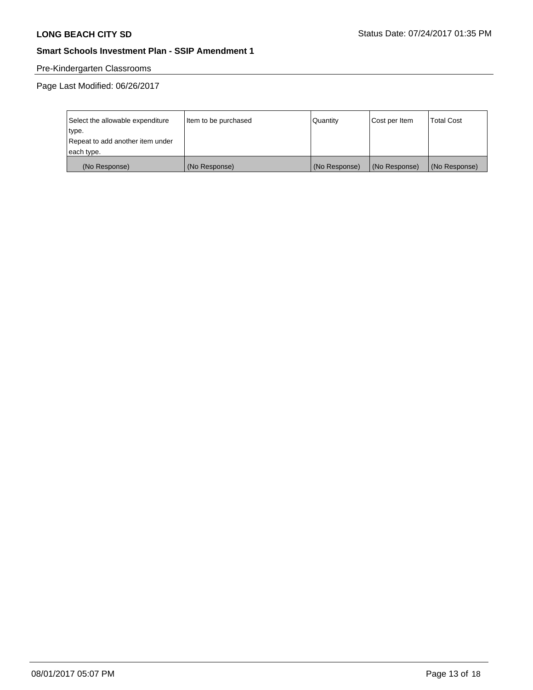# Pre-Kindergarten Classrooms

Page Last Modified: 06/26/2017

| Select the allowable expenditure | Item to be purchased | Quantity      | Cost per Item | <b>Total Cost</b> |
|----------------------------------|----------------------|---------------|---------------|-------------------|
| type.                            |                      |               |               |                   |
| Repeat to add another item under |                      |               |               |                   |
| each type.                       |                      |               |               |                   |
| (No Response)                    | (No Response)        | (No Response) | (No Response) | (No Response)     |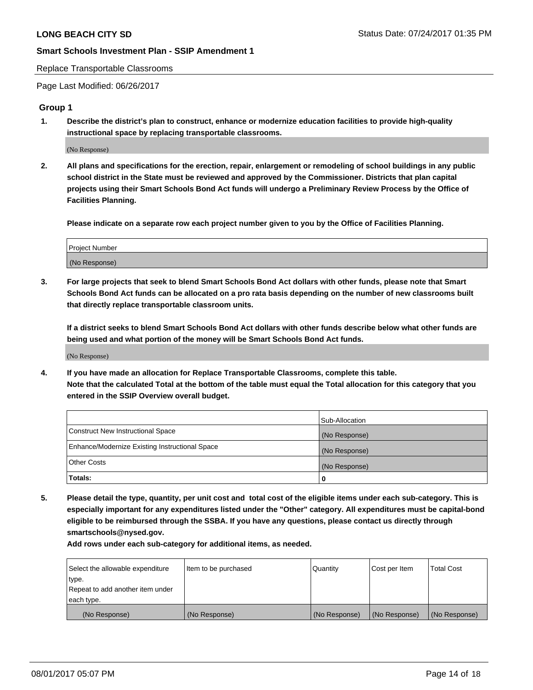#### Replace Transportable Classrooms

Page Last Modified: 06/26/2017

### **Group 1**

**1. Describe the district's plan to construct, enhance or modernize education facilities to provide high-quality instructional space by replacing transportable classrooms.**

(No Response)

**2. All plans and specifications for the erection, repair, enlargement or remodeling of school buildings in any public school district in the State must be reviewed and approved by the Commissioner. Districts that plan capital projects using their Smart Schools Bond Act funds will undergo a Preliminary Review Process by the Office of Facilities Planning.**

**Please indicate on a separate row each project number given to you by the Office of Facilities Planning.**

| Project Number |  |
|----------------|--|
| (No Response)  |  |

**3. For large projects that seek to blend Smart Schools Bond Act dollars with other funds, please note that Smart Schools Bond Act funds can be allocated on a pro rata basis depending on the number of new classrooms built that directly replace transportable classroom units.**

**If a district seeks to blend Smart Schools Bond Act dollars with other funds describe below what other funds are being used and what portion of the money will be Smart Schools Bond Act funds.**

(No Response)

**4. If you have made an allocation for Replace Transportable Classrooms, complete this table. Note that the calculated Total at the bottom of the table must equal the Total allocation for this category that you entered in the SSIP Overview overall budget.**

|                                                | Sub-Allocation |
|------------------------------------------------|----------------|
| Construct New Instructional Space              | (No Response)  |
| Enhance/Modernize Existing Instructional Space | (No Response)  |
| Other Costs                                    | (No Response)  |
| Totals:                                        | $\Omega$       |

**5. Please detail the type, quantity, per unit cost and total cost of the eligible items under each sub-category. This is especially important for any expenditures listed under the "Other" category. All expenditures must be capital-bond eligible to be reimbursed through the SSBA. If you have any questions, please contact us directly through smartschools@nysed.gov.**

| Select the allowable expenditure | Item to be purchased | Quantity      | Cost per Item | <b>Total Cost</b> |
|----------------------------------|----------------------|---------------|---------------|-------------------|
| type.                            |                      |               |               |                   |
| Repeat to add another item under |                      |               |               |                   |
| each type.                       |                      |               |               |                   |
| (No Response)                    | (No Response)        | (No Response) | (No Response) | (No Response)     |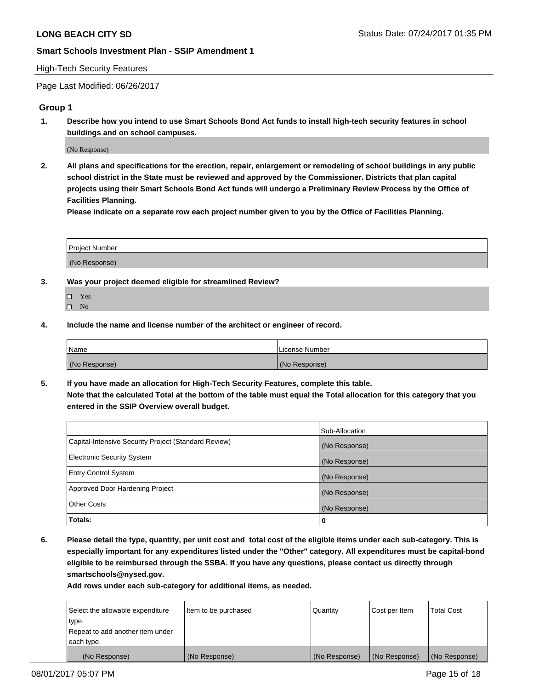#### High-Tech Security Features

Page Last Modified: 06/26/2017

## **Group 1**

**1. Describe how you intend to use Smart Schools Bond Act funds to install high-tech security features in school buildings and on school campuses.**

(No Response)

**2. All plans and specifications for the erection, repair, enlargement or remodeling of school buildings in any public school district in the State must be reviewed and approved by the Commissioner. Districts that plan capital projects using their Smart Schools Bond Act funds will undergo a Preliminary Review Process by the Office of Facilities Planning.** 

**Please indicate on a separate row each project number given to you by the Office of Facilities Planning.**

| Project Number |  |
|----------------|--|
|                |  |
| (No Response)  |  |

- **3. Was your project deemed eligible for streamlined Review?**
	- Yes  $\hfill \square$  No
- **4. Include the name and license number of the architect or engineer of record.**

| Name          | License Number |
|---------------|----------------|
| (No Response) | (No Response)  |

**5. If you have made an allocation for High-Tech Security Features, complete this table. Note that the calculated Total at the bottom of the table must equal the Total allocation for this category that you entered in the SSIP Overview overall budget.**

|                                                      | Sub-Allocation |
|------------------------------------------------------|----------------|
| Capital-Intensive Security Project (Standard Review) | (No Response)  |
| <b>Electronic Security System</b>                    | (No Response)  |
| <b>Entry Control System</b>                          | (No Response)  |
| Approved Door Hardening Project                      | (No Response)  |
| <b>Other Costs</b>                                   | (No Response)  |
| Totals:                                              | 0              |

**6. Please detail the type, quantity, per unit cost and total cost of the eligible items under each sub-category. This is especially important for any expenditures listed under the "Other" category. All expenditures must be capital-bond eligible to be reimbursed through the SSBA. If you have any questions, please contact us directly through smartschools@nysed.gov.**

| (No Response)                    | (No Response)        | (No Response) | (No Response) | (No Response)     |
|----------------------------------|----------------------|---------------|---------------|-------------------|
| each type.                       |                      |               |               |                   |
| Repeat to add another item under |                      |               |               |                   |
| type.                            |                      |               |               |                   |
| Select the allowable expenditure | Item to be purchased | Quantity      | Cost per Item | <b>Total Cost</b> |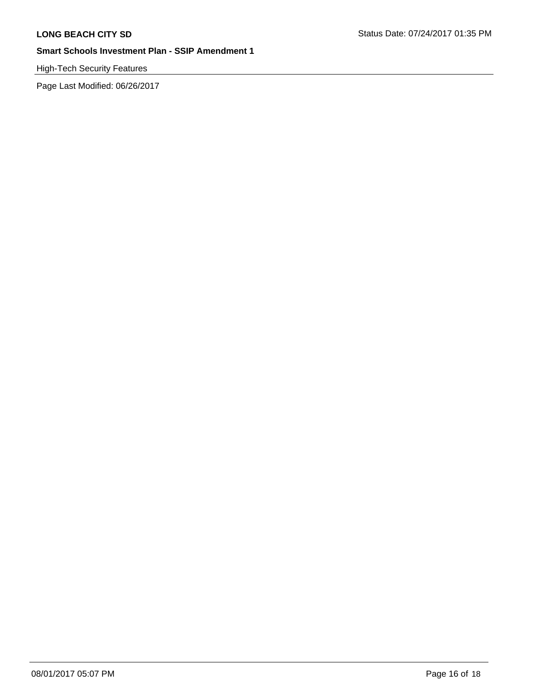# High-Tech Security Features

Page Last Modified: 06/26/2017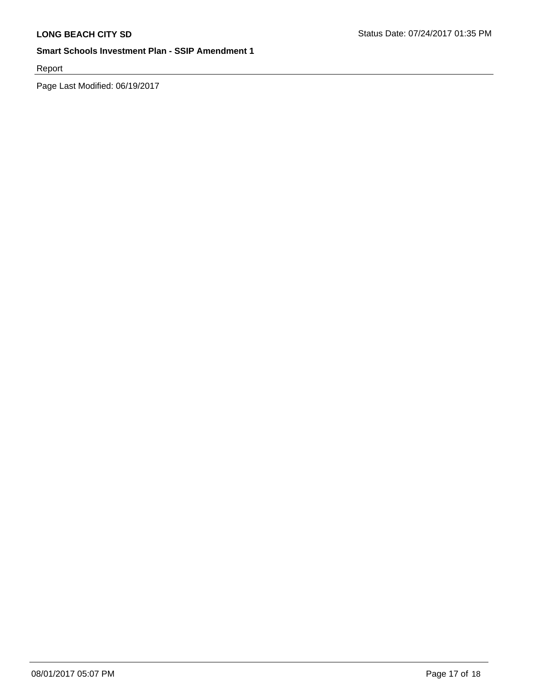Report

Page Last Modified: 06/19/2017